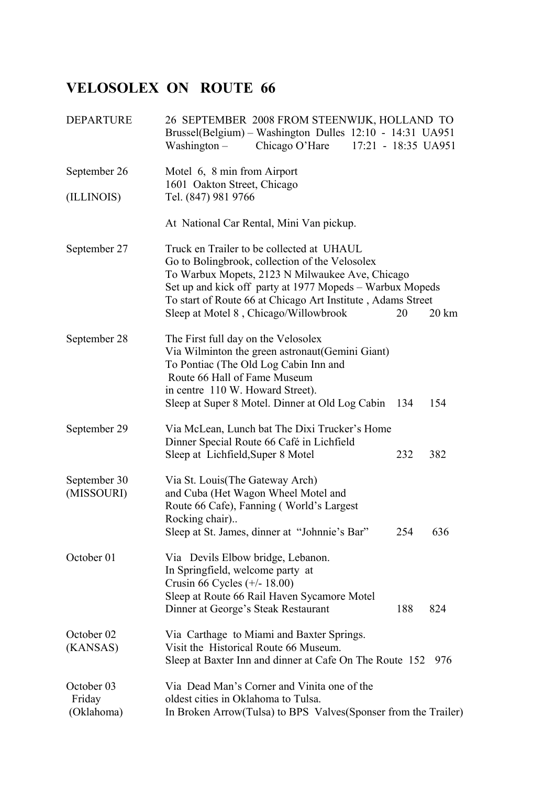## **VELOSOLEX ON ROUTE 66**

| <b>DEPARTURE</b>                   | 26 SEPTEMBER 2008 FROM STEENWIJK, HOLLAND TO<br>Brussel(Belgium) - Washington Dulles 12:10 - 14:31 UA951<br>Chicago O'Hare<br>17:21 - 18:35 UA951<br>Washington $-$                                                                                                                                                                          |
|------------------------------------|----------------------------------------------------------------------------------------------------------------------------------------------------------------------------------------------------------------------------------------------------------------------------------------------------------------------------------------------|
| September 26                       | Motel 6, 8 min from Airport                                                                                                                                                                                                                                                                                                                  |
| (ILLINOIS)                         | 1601 Oakton Street, Chicago<br>Tel. (847) 981 9766                                                                                                                                                                                                                                                                                           |
|                                    | At National Car Rental, Mini Van pickup.                                                                                                                                                                                                                                                                                                     |
| September 27                       | Truck en Trailer to be collected at UHAUL<br>Go to Bolingbrook, collection of the Velosolex<br>To Warbux Mopets, 2123 N Milwaukee Ave, Chicago<br>Set up and kick off party at 1977 Mopeds – Warbux Mopeds<br>To start of Route 66 at Chicago Art Institute, Adams Street<br>Sleep at Motel 8, Chicago/Willowbrook<br>$20 \mathrm{km}$<br>20 |
| September 28                       | The First full day on the Velosolex<br>Via Wilminton the green astronaut (Gemini Giant)<br>To Pontiac (The Old Log Cabin Inn and<br>Route 66 Hall of Fame Museum<br>in centre 110 W. Howard Street).<br>Sleep at Super 8 Motel. Dinner at Old Log Cabin 134<br>154                                                                           |
| September 29                       | Via McLean, Lunch bat The Dixi Trucker's Home<br>Dinner Special Route 66 Café in Lichfield<br>Sleep at Lichfield, Super 8 Motel<br>232<br>382                                                                                                                                                                                                |
| September 30<br>(MISSOURI)         | Via St. Louis(The Gateway Arch)<br>and Cuba (Het Wagon Wheel Motel and<br>Route 66 Cafe), Fanning (World's Largest<br>Rocking chair)<br>Sleep at St. James, dinner at "Johnnie's Bar"<br>254<br>636                                                                                                                                          |
| October 01                         | Via Devils Elbow bridge, Lebanon.<br>In Springfield, welcome party at<br>Crusin 66 Cycles $(+/- 18.00)$<br>Sleep at Route 66 Rail Haven Sycamore Motel<br>Dinner at George's Steak Restaurant<br>188<br>824                                                                                                                                  |
| October 02<br>(KANSAS)             | Via Carthage to Miami and Baxter Springs.<br>Visit the Historical Route 66 Museum.<br>Sleep at Baxter Inn and dinner at Cafe On The Route 152 976                                                                                                                                                                                            |
| October 03<br>Friday<br>(Oklahoma) | Via Dead Man's Corner and Vinita one of the<br>oldest cities in Oklahoma to Tulsa.<br>In Broken Arrow(Tulsa) to BPS Valves(Sponser from the Trailer)                                                                                                                                                                                         |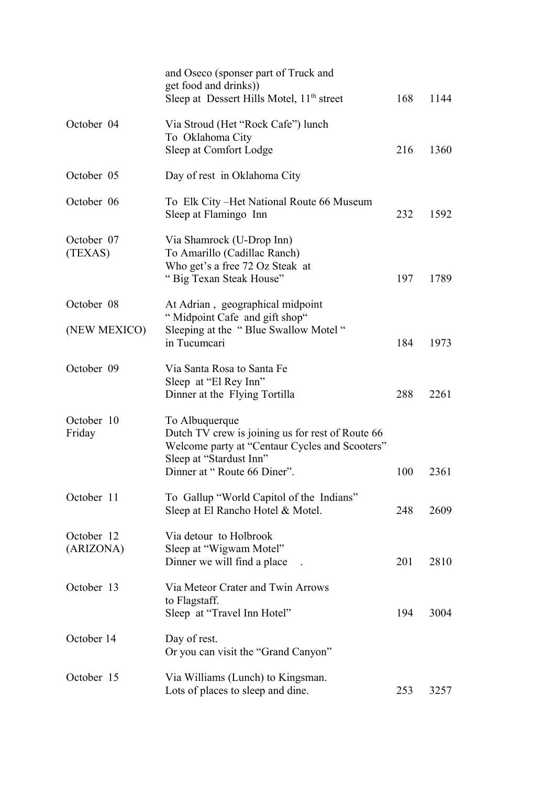|                         | and Oseco (sponser part of Truck and<br>get food and drinks))<br>Sleep at Dessert Hills Motel, 11 <sup>th</sup> street                                                         | 168 | 1144 |
|-------------------------|--------------------------------------------------------------------------------------------------------------------------------------------------------------------------------|-----|------|
| October 04              | Via Stroud (Het "Rock Cafe") lunch<br>To Oklahoma City<br>Sleep at Comfort Lodge                                                                                               | 216 | 1360 |
| October 05              | Day of rest in Oklahoma City                                                                                                                                                   |     |      |
| October 06              | To Elk City – Het National Route 66 Museum<br>Sleep at Flamingo Inn                                                                                                            | 232 | 1592 |
| October 07<br>(TEXAS)   | Via Shamrock (U-Drop Inn)<br>To Amarillo (Cadillac Ranch)<br>Who get's a free 72 Oz Steak at<br>"Big Texan Steak House"                                                        | 197 | 1789 |
| October 08              | At Adrian, geographical midpoint                                                                                                                                               |     |      |
| (NEW MEXICO)            | "Midpoint Cafe and gift shop"<br>Sleeping at the "Blue Swallow Motel"<br>in Tucumcari                                                                                          | 184 | 1973 |
| October 09              | Via Santa Rosa to Santa Fe<br>Sleep at "El Rey Inn"<br>Dinner at the Flying Tortilla                                                                                           | 288 | 2261 |
| October 10<br>Friday    | To Albuquerque<br>Dutch TV crew is joining us for rest of Route 66<br>Welcome party at "Centaur Cycles and Scooters"<br>Sleep at "Stardust Inn"<br>Dinner at "Route 66 Diner". | 100 | 2361 |
| October 11              | To Gallup "World Capitol of the Indians"<br>Sleep at El Rancho Hotel & Motel.                                                                                                  | 248 | 2609 |
| October 12<br>(ARIZONA) | Via detour to Holbrook<br>Sleep at "Wigwam Motel"<br>Dinner we will find a place                                                                                               | 201 | 2810 |
| October 13              | Via Meteor Crater and Twin Arrows<br>to Flagstaff.<br>Sleep at "Travel Inn Hotel"                                                                                              | 194 | 3004 |
| October 14              | Day of rest.<br>Or you can visit the "Grand Canyon"                                                                                                                            |     |      |
| October 15              | Via Williams (Lunch) to Kingsman.<br>Lots of places to sleep and dine.                                                                                                         | 253 | 3257 |